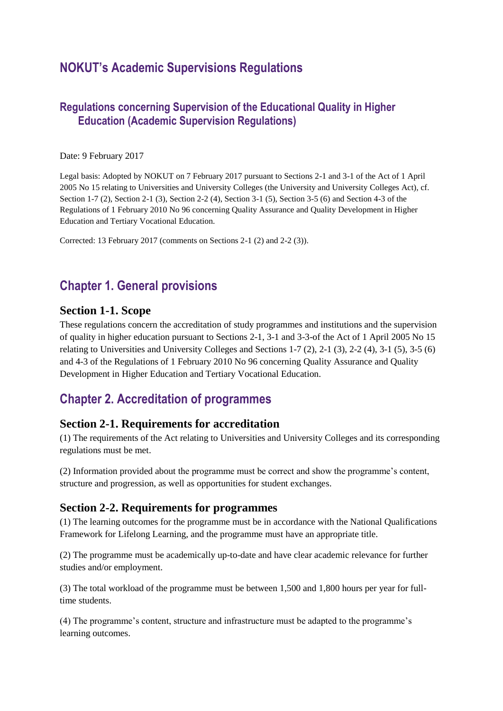# **NOKUT's Academic Supervisions Regulations**

### **Regulations concerning Supervision of the Educational Quality in Higher Education (Academic Supervision Regulations)**

#### Date: 9 February 2017

Legal basis: Adopted by NOKUT on 7 February 2017 pursuant to Sections 2-1 and 3-1 of the Act of 1 April 2005 No 15 relating to Universities and University Colleges (the University and University Colleges Act), cf. Section 1-7 (2), Section 2-1 (3), Section 2-2 (4), Section 3-1 (5), Section 3-5 (6) and Section 4-3 of the Regulations of 1 February 2010 No 96 concerning Quality Assurance and Quality Development in Higher Education and Tertiary Vocational Education.

Corrected: 13 February 2017 (comments on Sections 2-1 (2) and 2-2 (3)).

# **Chapter 1. General provisions**

#### **Section 1-1. Scope**

These regulations concern the accreditation of study programmes and institutions and the supervision of quality in higher education pursuant to Sections 2-1, 3-1 and 3-3-of the Act of 1 April 2005 No 15 relating to Universities and University Colleges and Sections 1-7 (2), 2-1 (3), 2-2 (4), 3-1 (5), 3-5 (6) and 4-3 of the Regulations of 1 February 2010 No 96 concerning Quality Assurance and Quality Development in Higher Education and Tertiary Vocational Education.

# **Chapter 2. Accreditation of programmes**

#### **Section 2-1. Requirements for accreditation**

(1) The requirements of the Act relating to Universities and University Colleges and its corresponding regulations must be met.

(2) Information provided about the programme must be correct and show the programme's content, structure and progression, as well as opportunities for student exchanges.

### **Section 2-2. Requirements for programmes**

(1) The learning outcomes for the programme must be in accordance with the National Qualifications Framework for Lifelong Learning, and the programme must have an appropriate title.

(2) The programme must be academically up-to-date and have clear academic relevance for further studies and/or employment.

(3) The total workload of the programme must be between 1,500 and 1,800 hours per year for fulltime students.

(4) The programme's content, structure and infrastructure must be adapted to the programme's learning outcomes.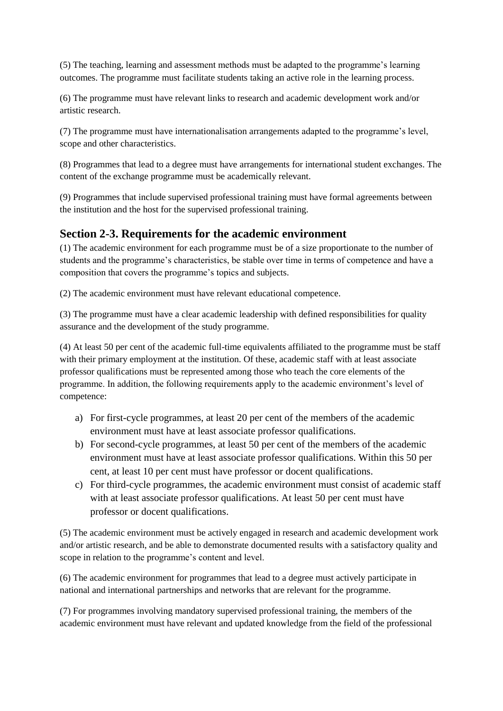(5) The teaching, learning and assessment methods must be adapted to the programme's learning outcomes. The programme must facilitate students taking an active role in the learning process.

(6) The programme must have relevant links to research and academic development work and/or artistic research.

(7) The programme must have internationalisation arrangements adapted to the programme's level, scope and other characteristics.

(8) Programmes that lead to a degree must have arrangements for international student exchanges. The content of the exchange programme must be academically relevant.

(9) Programmes that include supervised professional training must have formal agreements between the institution and the host for the supervised professional training.

## **Section 2-3. Requirements for the academic environment**

(1) The academic environment for each programme must be of a size proportionate to the number of students and the programme's characteristics, be stable over time in terms of competence and have a composition that covers the programme's topics and subjects.

(2) The academic environment must have relevant educational competence.

(3) The programme must have a clear academic leadership with defined responsibilities for quality assurance and the development of the study programme.

(4) At least 50 per cent of the academic full-time equivalents affiliated to the programme must be staff with their primary employment at the institution. Of these, academic staff with at least associate professor qualifications must be represented among those who teach the core elements of the programme. In addition, the following requirements apply to the academic environment's level of competence:

- a) For first-cycle programmes, at least 20 per cent of the members of the academic environment must have at least associate professor qualifications.
- b) For second-cycle programmes, at least 50 per cent of the members of the academic environment must have at least associate professor qualifications. Within this 50 per cent, at least 10 per cent must have professor or docent qualifications.
- c) For third-cycle programmes, the academic environment must consist of academic staff with at least associate professor qualifications. At least 50 per cent must have professor or docent qualifications.

(5) The academic environment must be actively engaged in research and academic development work and/or artistic research, and be able to demonstrate documented results with a satisfactory quality and scope in relation to the programme's content and level.

(6) The academic environment for programmes that lead to a degree must actively participate in national and international partnerships and networks that are relevant for the programme.

(7) For programmes involving mandatory supervised professional training, the members of the academic environment must have relevant and updated knowledge from the field of the professional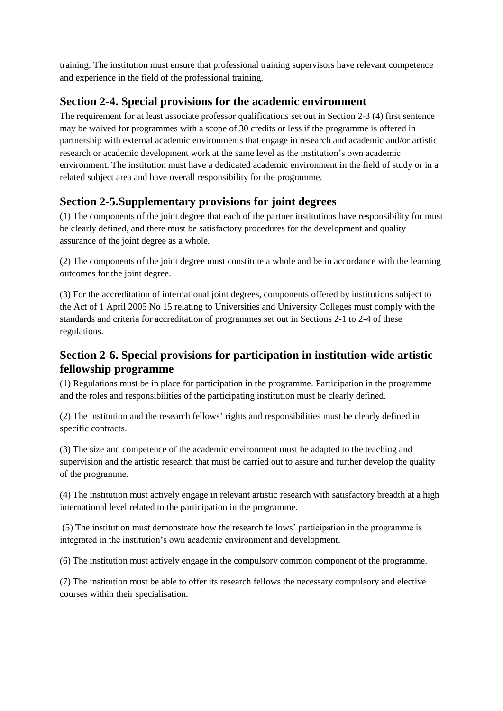training. The institution must ensure that professional training supervisors have relevant competence and experience in the field of the professional training.

## **Section 2-4. Special provisions for the academic environment**

The requirement for at least associate professor qualifications set out in Section 2-3 (4) first sentence may be waived for programmes with a scope of 30 credits or less if the programme is offered in partnership with external academic environments that engage in research and academic and/or artistic research or academic development work at the same level as the institution's own academic environment. The institution must have a dedicated academic environment in the field of study or in a related subject area and have overall responsibility for the programme.

# **Section 2-5.Supplementary provisions for joint degrees**

(1) The components of the joint degree that each of the partner institutions have responsibility for must be clearly defined, and there must be satisfactory procedures for the development and quality assurance of the joint degree as a whole.

(2) The components of the joint degree must constitute a whole and be in accordance with the learning outcomes for the joint degree.

(3) For the accreditation of international joint degrees, components offered by institutions subject to the Act of 1 April 2005 No 15 relating to Universities and University Colleges must comply with the standards and criteria for accreditation of programmes set out in Sections 2-1 to 2-4 of these regulations.

## **Section 2-6. Special provisions for participation in institution-wide artistic fellowship programme**

(1) Regulations must be in place for participation in the programme. Participation in the programme and the roles and responsibilities of the participating institution must be clearly defined.

(2) The institution and the research fellows' rights and responsibilities must be clearly defined in specific contracts.

(3) The size and competence of the academic environment must be adapted to the teaching and supervision and the artistic research that must be carried out to assure and further develop the quality of the programme.

(4) The institution must actively engage in relevant artistic research with satisfactory breadth at a high international level related to the participation in the programme.

(5) The institution must demonstrate how the research fellows' participation in the programme is integrated in the institution's own academic environment and development.

(6) The institution must actively engage in the compulsory common component of the programme.

(7) The institution must be able to offer its research fellows the necessary compulsory and elective courses within their specialisation.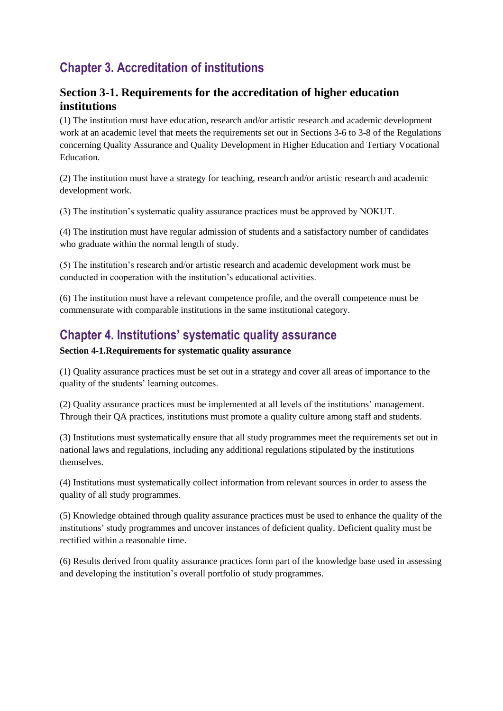# **Chapter 3. Accreditation of institutions**

### **Section 3-1. Requirements for the accreditation of higher education institutions**

(1) The institution must have education, research and/or artistic research and academic development work at an academic level that meets the requirements set out in Sections 3-6 to 3-8 of the Regulations concerning Quality Assurance and Quality Development in Higher Education and Tertiary Vocational Education.

(2) The institution must have a strategy for teaching, research and/or artistic research and academic development work.

(3) The institution's systematic quality assurance practices must be approved by NOKUT.

(4) The institution must have regular admission of students and a satisfactory number of candidates who graduate within the normal length of study.

(5) The institution's research and/or artistic research and academic development work must be conducted in cooperation with the institution's educational activities.

(6) The institution must have a relevant competence profile, and the overall competence must be commensurate with comparable institutions in the same institutional category.

# **Chapter 4. Institutions' systematic quality assurance**

#### **Section 4-1.Requirements for systematic quality assurance**

(1) Quality assurance practices must be set out in a strategy and cover all areas of importance to the quality of the students' learning outcomes.

(2) Quality assurance practices must be implemented at all levels of the institutions' management. Through their QA practices, institutions must promote a quality culture among staff and students.

(3) Institutions must systematically ensure that all study programmes meet the requirements set out in national laws and regulations, including any additional regulations stipulated by the institutions themselves.

(4) Institutions must systematically collect information from relevant sources in order to assess the quality of all study programmes.

(5) Knowledge obtained through quality assurance practices must be used to enhance the quality of the institutions' study programmes and uncover instances of deficient quality. Deficient quality must be rectified within a reasonable time.

(6) Results derived from quality assurance practices form part of the knowledge base used in assessing and developing the institution's overall portfolio of study programmes.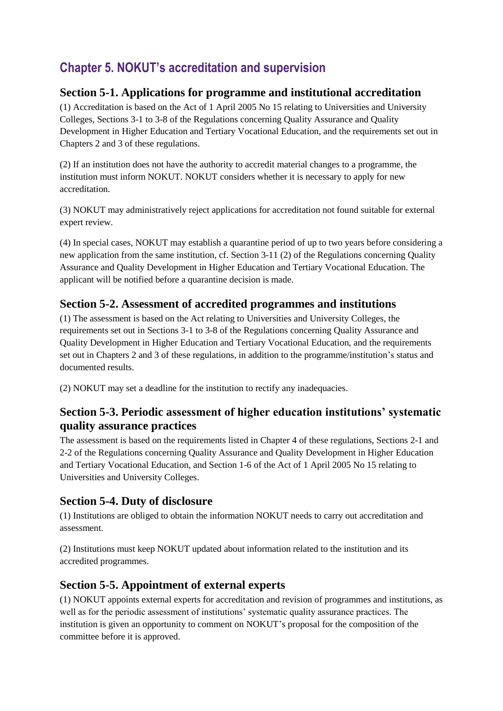# **Chapter 5. NOKUT's accreditation and supervision**

## **Section 5-1. Applications for programme and institutional accreditation**

(1) Accreditation is based on the Act of 1 April 2005 No 15 relating to Universities and University Colleges, Sections 3-1 to 3-8 of the Regulations concerning Quality Assurance and Quality Development in Higher Education and Tertiary Vocational Education, and the requirements set out in Chapters 2 and 3 of these regulations.

(2) If an institution does not have the authority to accredit material changes to a programme, the institution must inform NOKUT. NOKUT considers whether it is necessary to apply for new accreditation.

(3) NOKUT may administratively reject applications for accreditation not found suitable for external expert review.

(4) In special cases, NOKUT may establish a quarantine period of up to two years before considering a new application from the same institution, cf. Section 3-11 (2) of the Regulations concerning Quality Assurance and Quality Development in Higher Education and Tertiary Vocational Education. The applicant will be notified before a quarantine decision is made.

# **Section 5-2. Assessment of accredited programmes and institutions**

(1) The assessment is based on the Act relating to Universities and University Colleges, the requirements set out in Sections 3-1 to 3-8 of the Regulations concerning Quality Assurance and Quality Development in Higher Education and Tertiary Vocational Education, and the requirements set out in Chapters 2 and 3 of these regulations, in addition to the programme/institution's status and documented results.

(2) NOKUT may set a deadline for the institution to rectify any inadequacies.

## **Section 5-3. Periodic assessment of higher education institutions' systematic quality assurance practices**

The assessment is based on the requirements listed in Chapter 4 of these regulations, Sections 2-1 and 2-2 of the Regulations concerning Quality Assurance and Quality Development in Higher Education and Tertiary Vocational Education, and Section 1-6 of the Act of 1 April 2005 No 15 relating to Universities and University Colleges.

## **Section 5-4. Duty of disclosure**

(1) Institutions are obliged to obtain the information NOKUT needs to carry out accreditation and assessment.

(2) Institutions must keep NOKUT updated about information related to the institution and its accredited programmes.

## **Section 5-5. Appointment of external experts**

(1) NOKUT appoints external experts for accreditation and revision of programmes and institutions, as well as for the periodic assessment of institutions' systematic quality assurance practices. The institution is given an opportunity to comment on NOKUT's proposal for the composition of the committee before it is approved.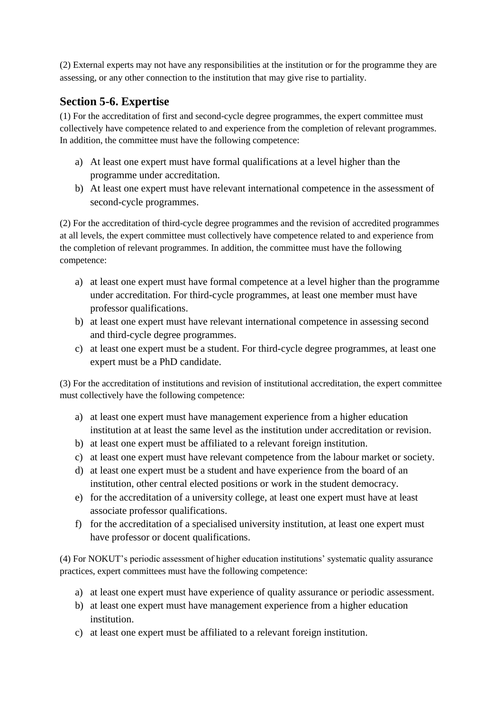(2) External experts may not have any responsibilities at the institution or for the programme they are assessing, or any other connection to the institution that may give rise to partiality.

## **Section 5-6. Expertise**

(1) For the accreditation of first and second-cycle degree programmes, the expert committee must collectively have competence related to and experience from the completion of relevant programmes. In addition, the committee must have the following competence:

- a) At least one expert must have formal qualifications at a level higher than the programme under accreditation.
- b) At least one expert must have relevant international competence in the assessment of second-cycle programmes.

(2) For the accreditation of third-cycle degree programmes and the revision of accredited programmes at all levels, the expert committee must collectively have competence related to and experience from the completion of relevant programmes. In addition, the committee must have the following competence:

- a) at least one expert must have formal competence at a level higher than the programme under accreditation. For third-cycle programmes, at least one member must have professor qualifications.
- b) at least one expert must have relevant international competence in assessing second and third-cycle degree programmes.
- c) at least one expert must be a student. For third-cycle degree programmes, at least one expert must be a PhD candidate.

(3) For the accreditation of institutions and revision of institutional accreditation, the expert committee must collectively have the following competence:

- a) at least one expert must have management experience from a higher education institution at at least the same level as the institution under accreditation or revision.
- b) at least one expert must be affiliated to a relevant foreign institution.
- c) at least one expert must have relevant competence from the labour market or society.
- d) at least one expert must be a student and have experience from the board of an institution, other central elected positions or work in the student democracy.
- e) for the accreditation of a university college, at least one expert must have at least associate professor qualifications.
- f) for the accreditation of a specialised university institution, at least one expert must have professor or docent qualifications.

(4) For NOKUT's periodic assessment of higher education institutions' systematic quality assurance practices, expert committees must have the following competence:

- a) at least one expert must have experience of quality assurance or periodic assessment.
- b) at least one expert must have management experience from a higher education institution.
- c) at least one expert must be affiliated to a relevant foreign institution.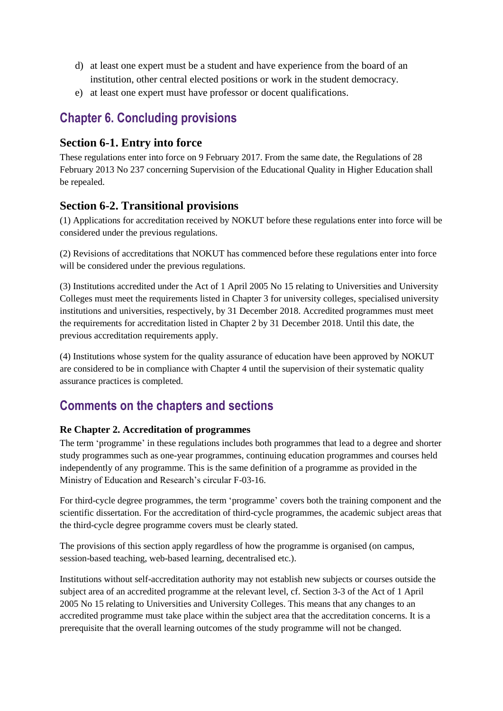- d) at least one expert must be a student and have experience from the board of an institution, other central elected positions or work in the student democracy.
- e) at least one expert must have professor or docent qualifications.

# **Chapter 6. Concluding provisions**

### **Section 6-1. Entry into force**

These regulations enter into force on 9 February 2017. From the same date, the Regulations of 28 February 2013 No 237 concerning Supervision of the Educational Quality in Higher Education shall be repealed.

## **Section 6-2. Transitional provisions**

(1) Applications for accreditation received by NOKUT before these regulations enter into force will be considered under the previous regulations.

(2) Revisions of accreditations that NOKUT has commenced before these regulations enter into force will be considered under the previous regulations.

(3) Institutions accredited under the Act of 1 April 2005 No 15 relating to Universities and University Colleges must meet the requirements listed in Chapter 3 for university colleges, specialised university institutions and universities, respectively, by 31 December 2018. Accredited programmes must meet the requirements for accreditation listed in Chapter 2 by 31 December 2018. Until this date, the previous accreditation requirements apply.

(4) Institutions whose system for the quality assurance of education have been approved by NOKUT are considered to be in compliance with Chapter 4 until the supervision of their systematic quality assurance practices is completed.

# **Comments on the chapters and sections**

### **Re Chapter 2. Accreditation of programmes**

The term 'programme' in these regulations includes both programmes that lead to a degree and shorter study programmes such as one-year programmes, continuing education programmes and courses held independently of any programme. This is the same definition of a programme as provided in the Ministry of Education and Research's circular F-03-16.

For third-cycle degree programmes, the term 'programme' covers both the training component and the scientific dissertation. For the accreditation of third-cycle programmes, the academic subject areas that the third-cycle degree programme covers must be clearly stated.

The provisions of this section apply regardless of how the programme is organised (on campus, session-based teaching, web-based learning, decentralised etc.).

Institutions without self-accreditation authority may not establish new subjects or courses outside the subject area of an accredited programme at the relevant level, cf. Section 3-3 of the Act of 1 April 2005 No 15 relating to Universities and University Colleges. This means that any changes to an accredited programme must take place within the subject area that the accreditation concerns. It is a prerequisite that the overall learning outcomes of the study programme will not be changed.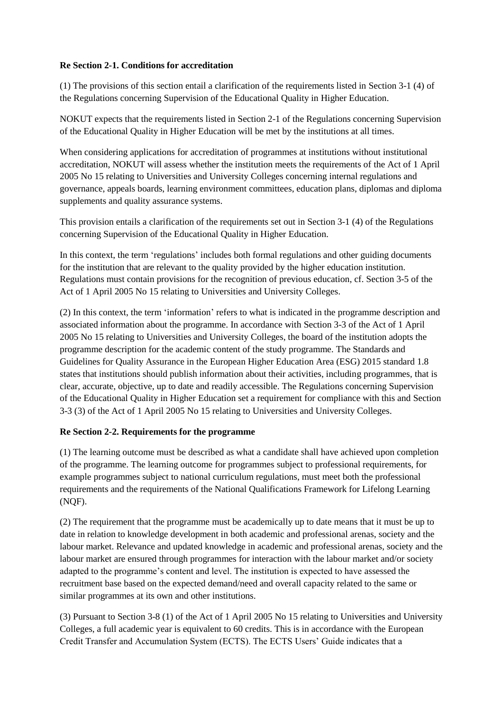#### **Re Section 2-1. Conditions for accreditation**

(1) The provisions of this section entail a clarification of the requirements listed in Section 3-1 (4) of the Regulations concerning Supervision of the Educational Quality in Higher Education.

NOKUT expects that the requirements listed in Section 2-1 of the Regulations concerning Supervision of the Educational Quality in Higher Education will be met by the institutions at all times.

When considering applications for accreditation of programmes at institutions without institutional accreditation, NOKUT will assess whether the institution meets the requirements of the Act of 1 April 2005 No 15 relating to Universities and University Colleges concerning internal regulations and governance, appeals boards, learning environment committees, education plans, diplomas and diploma supplements and quality assurance systems.

This provision entails a clarification of the requirements set out in Section 3-1 (4) of the Regulations concerning Supervision of the Educational Quality in Higher Education.

In this context, the term 'regulations' includes both formal regulations and other guiding documents for the institution that are relevant to the quality provided by the higher education institution. Regulations must contain provisions for the recognition of previous education, cf. Section 3-5 of the Act of 1 April 2005 No 15 relating to Universities and University Colleges.

(2) In this context, the term 'information' refers to what is indicated in the programme description and associated information about the programme. In accordance with Section 3-3 of the Act of 1 April 2005 No 15 relating to Universities and University Colleges, the board of the institution adopts the programme description for the academic content of the study programme. The Standards and Guidelines for Quality Assurance in the European Higher Education Area (ESG) 2015 standard 1.8 states that institutions should publish information about their activities, including programmes, that is clear, accurate, objective, up to date and readily accessible. The Regulations concerning Supervision of the Educational Quality in Higher Education set a requirement for compliance with this and Section 3-3 (3) of the Act of 1 April 2005 No 15 relating to Universities and University Colleges.

#### **Re Section 2-2. Requirements for the programme**

(1) The learning outcome must be described as what a candidate shall have achieved upon completion of the programme. The learning outcome for programmes subject to professional requirements, for example programmes subject to national curriculum regulations, must meet both the professional requirements and the requirements of the National Qualifications Framework for Lifelong Learning (NQF).

(2) The requirement that the programme must be academically up to date means that it must be up to date in relation to knowledge development in both academic and professional arenas, society and the labour market. Relevance and updated knowledge in academic and professional arenas, society and the labour market are ensured through programmes for interaction with the labour market and/or society adapted to the programme's content and level. The institution is expected to have assessed the recruitment base based on the expected demand/need and overall capacity related to the same or similar programmes at its own and other institutions.

(3) Pursuant to Section 3-8 (1) of the Act of 1 April 2005 No 15 relating to Universities and University Colleges, a full academic year is equivalent to 60 credits. This is in accordance with the European Credit Transfer and Accumulation System (ECTS). The ECTS Users' Guide indicates that a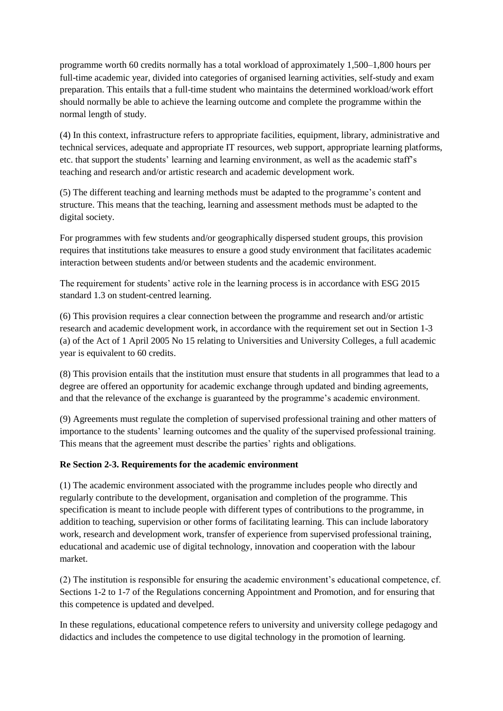programme worth 60 credits normally has a total workload of approximately 1,500–1,800 hours per full-time academic year, divided into categories of organised learning activities, self-study and exam preparation. This entails that a full-time student who maintains the determined workload/work effort should normally be able to achieve the learning outcome and complete the programme within the normal length of study.

(4) In this context, infrastructure refers to appropriate facilities, equipment, library, administrative and technical services, adequate and appropriate IT resources, web support, appropriate learning platforms, etc. that support the students' learning and learning environment, as well as the academic staff's teaching and research and/or artistic research and academic development work.

(5) The different teaching and learning methods must be adapted to the programme's content and structure. This means that the teaching, learning and assessment methods must be adapted to the digital society.

For programmes with few students and/or geographically dispersed student groups, this provision requires that institutions take measures to ensure a good study environment that facilitates academic interaction between students and/or between students and the academic environment.

The requirement for students' active role in the learning process is in accordance with ESG 2015 standard 1.3 on student-centred learning.

(6) This provision requires a clear connection between the programme and research and/or artistic research and academic development work, in accordance with the requirement set out in Section 1-3 (a) of the Act of 1 April 2005 No 15 relating to Universities and University Colleges, a full academic year is equivalent to 60 credits.

(8) This provision entails that the institution must ensure that students in all programmes that lead to a degree are offered an opportunity for academic exchange through updated and binding agreements, and that the relevance of the exchange is guaranteed by the programme's academic environment.

(9) Agreements must regulate the completion of supervised professional training and other matters of importance to the students' learning outcomes and the quality of the supervised professional training. This means that the agreement must describe the parties' rights and obligations.

#### **Re Section 2-3. Requirements for the academic environment**

(1) The academic environment associated with the programme includes people who directly and regularly contribute to the development, organisation and completion of the programme. This specification is meant to include people with different types of contributions to the programme, in addition to teaching, supervision or other forms of facilitating learning. This can include laboratory work, research and development work, transfer of experience from supervised professional training, educational and academic use of digital technology, innovation and cooperation with the labour market.

(2) The institution is responsible for ensuring the academic environment's educational competence, cf. Sections 1-2 to 1-7 of the Regulations concerning Appointment and Promotion, and for ensuring that this competence is updated and develped.

In these regulations, educational competence refers to university and university college pedagogy and didactics and includes the competence to use digital technology in the promotion of learning.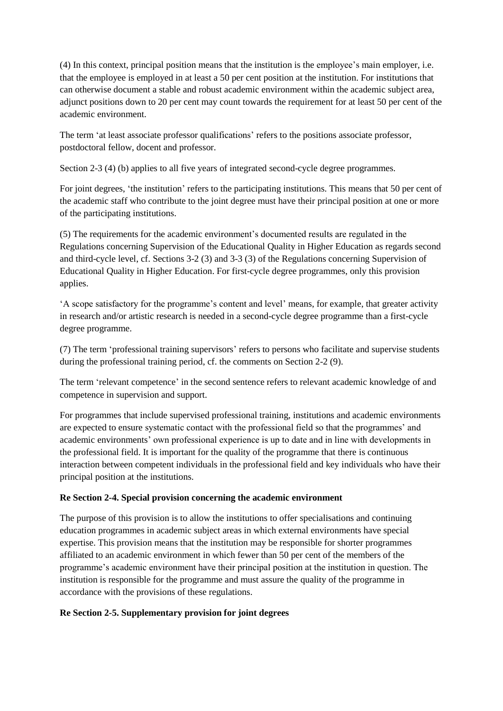(4) In this context, principal position means that the institution is the employee's main employer, i.e. that the employee is employed in at least a 50 per cent position at the institution. For institutions that can otherwise document a stable and robust academic environment within the academic subject area, adjunct positions down to 20 per cent may count towards the requirement for at least 50 per cent of the academic environment.

The term 'at least associate professor qualifications' refers to the positions associate professor, postdoctoral fellow, docent and professor.

Section 2-3 (4) (b) applies to all five years of integrated second-cycle degree programmes.

For joint degrees, 'the institution' refers to the participating institutions. This means that 50 per cent of the academic staff who contribute to the joint degree must have their principal position at one or more of the participating institutions.

(5) The requirements for the academic environment's documented results are regulated in the Regulations concerning Supervision of the Educational Quality in Higher Education as regards second and third-cycle level, cf. Sections 3-2 (3) and 3-3 (3) of the Regulations concerning Supervision of Educational Quality in Higher Education. For first-cycle degree programmes, only this provision applies.

'A scope satisfactory for the programme's content and level' means, for example, that greater activity in research and/or artistic research is needed in a second-cycle degree programme than a first-cycle degree programme.

(7) The term 'professional training supervisors' refers to persons who facilitate and supervise students during the professional training period, cf. the comments on Section 2-2 (9).

The term 'relevant competence' in the second sentence refers to relevant academic knowledge of and competence in supervision and support.

For programmes that include supervised professional training, institutions and academic environments are expected to ensure systematic contact with the professional field so that the programmes' and academic environments' own professional experience is up to date and in line with developments in the professional field. It is important for the quality of the programme that there is continuous interaction between competent individuals in the professional field and key individuals who have their principal position at the institutions.

#### **Re Section 2-4. Special provision concerning the academic environment**

The purpose of this provision is to allow the institutions to offer specialisations and continuing education programmes in academic subject areas in which external environments have special expertise. This provision means that the institution may be responsible for shorter programmes affiliated to an academic environment in which fewer than 50 per cent of the members of the programme's academic environment have their principal position at the institution in question. The institution is responsible for the programme and must assure the quality of the programme in accordance with the provisions of these regulations.

#### **Re Section 2-5. Supplementary provision for joint degrees**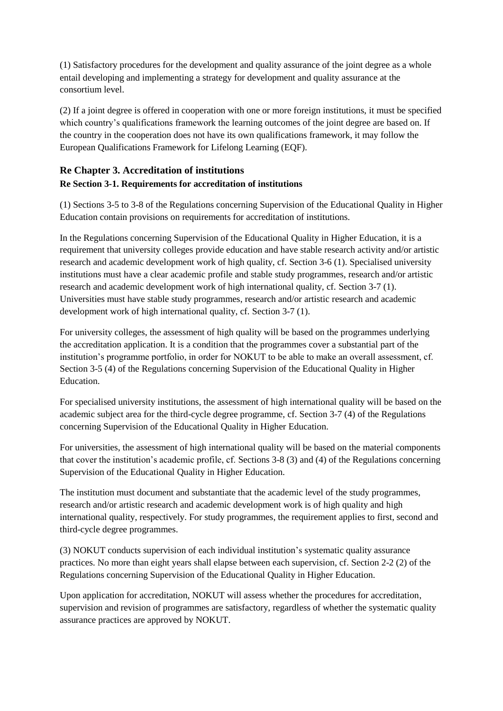(1) Satisfactory procedures for the development and quality assurance of the joint degree as a whole entail developing and implementing a strategy for development and quality assurance at the consortium level.

(2) If a joint degree is offered in cooperation with one or more foreign institutions, it must be specified which country's qualifications framework the learning outcomes of the joint degree are based on. If the country in the cooperation does not have its own qualifications framework, it may follow the European Qualifications Framework for Lifelong Learning (EQF).

### **Re Chapter 3. Accreditation of institutions Re Section 3-1. Requirements for accreditation of institutions**

(1) Sections 3-5 to 3-8 of the Regulations concerning Supervision of the Educational Quality in Higher Education contain provisions on requirements for accreditation of institutions.

In the Regulations concerning Supervision of the Educational Quality in Higher Education, it is a requirement that university colleges provide education and have stable research activity and/or artistic research and academic development work of high quality, cf. Section 3-6 (1). Specialised university institutions must have a clear academic profile and stable study programmes, research and/or artistic research and academic development work of high international quality, cf. Section 3-7 (1). Universities must have stable study programmes, research and/or artistic research and academic development work of high international quality, cf. Section 3-7 (1).

For university colleges, the assessment of high quality will be based on the programmes underlying the accreditation application. It is a condition that the programmes cover a substantial part of the institution's programme portfolio, in order for NOKUT to be able to make an overall assessment, cf. Section 3-5 (4) of the Regulations concerning Supervision of the Educational Quality in Higher Education.

For specialised university institutions, the assessment of high international quality will be based on the academic subject area for the third-cycle degree programme, cf. Section 3-7 (4) of the Regulations concerning Supervision of the Educational Quality in Higher Education.

For universities, the assessment of high international quality will be based on the material components that cover the institution's academic profile, cf. Sections 3-8 (3) and (4) of the Regulations concerning Supervision of the Educational Quality in Higher Education.

The institution must document and substantiate that the academic level of the study programmes, research and/or artistic research and academic development work is of high quality and high international quality, respectively. For study programmes, the requirement applies to first, second and third-cycle degree programmes.

(3) NOKUT conducts supervision of each individual institution's systematic quality assurance practices. No more than eight years shall elapse between each supervision, cf. Section 2-2 (2) of the Regulations concerning Supervision of the Educational Quality in Higher Education.

Upon application for accreditation, NOKUT will assess whether the procedures for accreditation, supervision and revision of programmes are satisfactory, regardless of whether the systematic quality assurance practices are approved by NOKUT.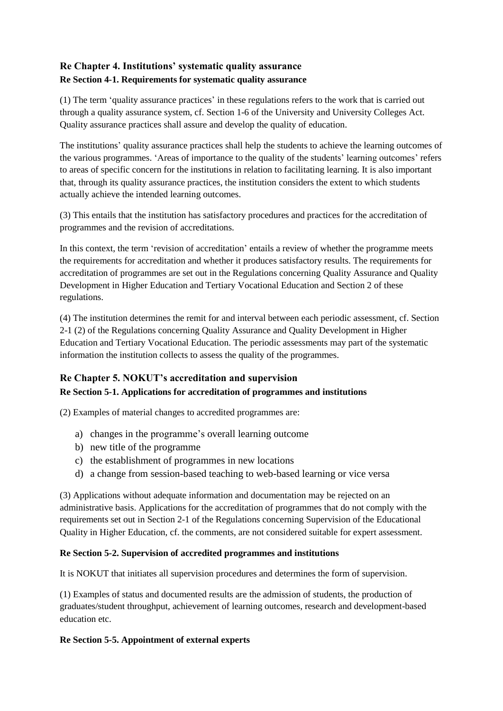### **Re Chapter 4. Institutions' systematic quality assurance Re Section 4-1. Requirements for systematic quality assurance**

(1) The term 'quality assurance practices' in these regulations refers to the work that is carried out through a quality assurance system, cf. Section 1-6 of the University and University Colleges Act. Quality assurance practices shall assure and develop the quality of education.

The institutions' quality assurance practices shall help the students to achieve the learning outcomes of the various programmes. 'Areas of importance to the quality of the students' learning outcomes' refers to areas of specific concern for the institutions in relation to facilitating learning. It is also important that, through its quality assurance practices, the institution considers the extent to which students actually achieve the intended learning outcomes.

(3) This entails that the institution has satisfactory procedures and practices for the accreditation of programmes and the revision of accreditations.

In this context, the term 'revision of accreditation' entails a review of whether the programme meets the requirements for accreditation and whether it produces satisfactory results. The requirements for accreditation of programmes are set out in the Regulations concerning Quality Assurance and Quality Development in Higher Education and Tertiary Vocational Education and Section 2 of these regulations.

(4) The institution determines the remit for and interval between each periodic assessment, cf. Section 2-1 (2) of the Regulations concerning Quality Assurance and Quality Development in Higher Education and Tertiary Vocational Education. The periodic assessments may part of the systematic information the institution collects to assess the quality of the programmes.

### **Re Chapter 5. NOKUT's accreditation and supervision Re Section 5-1. Applications for accreditation of programmes and institutions**

(2) Examples of material changes to accredited programmes are:

- a) changes in the programme's overall learning outcome
- b) new title of the programme
- c) the establishment of programmes in new locations
- d) a change from session-based teaching to web-based learning or vice versa

(3) Applications without adequate information and documentation may be rejected on an administrative basis. Applications for the accreditation of programmes that do not comply with the requirements set out in Section 2-1 of the Regulations concerning Supervision of the Educational Quality in Higher Education, cf. the comments, are not considered suitable for expert assessment.

#### **Re Section 5-2. Supervision of accredited programmes and institutions**

It is NOKUT that initiates all supervision procedures and determines the form of supervision.

(1) Examples of status and documented results are the admission of students, the production of graduates/student throughput, achievement of learning outcomes, research and development-based education etc.

#### **Re Section 5-5. Appointment of external experts**